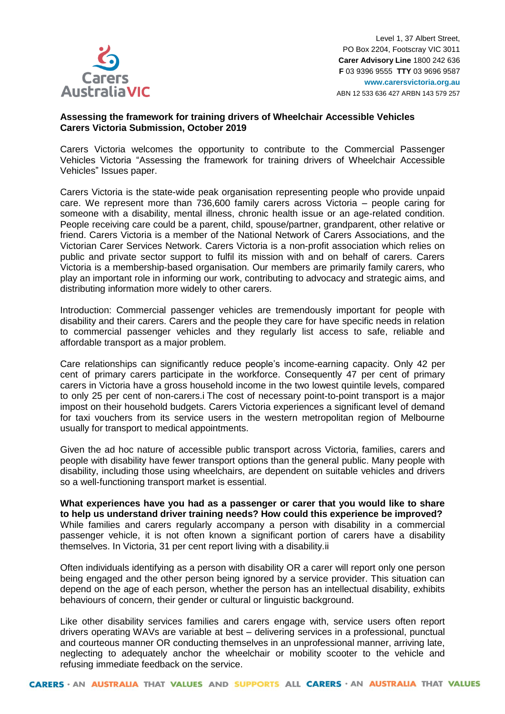

# **Assessing the framework for training drivers of Wheelchair Accessible Vehicles Carers Victoria Submission, October 2019**

Carers Victoria welcomes the opportunity to contribute to the Commercial Passenger Vehicles Victoria "Assessing the framework for training drivers of Wheelchair Accessible Vehicles" Issues paper.

Carers Victoria is the state-wide peak organisation representing people who provide unpaid care. We represent more than 736,600 family carers across Victoria – people caring for someone with a disability, mental illness, chronic health issue or an age-related condition. People receiving care could be a parent, child, spouse/partner, grandparent, other relative or friend. Carers Victoria is a member of the National Network of Carers Associations, and the Victorian Carer Services Network. Carers Victoria is a non-profit association which relies on public and private sector support to fulfil its mission with and on behalf of carers. Carers Victoria is a membership-based organisation. Our members are primarily family carers, who play an important role in informing our work, contributing to advocacy and strategic aims, and distributing information more widely to other carers.

Introduction: Commercial passenger vehicles are tremendously important for people with disability and their carers. Carers and the people they care for have specific needs in relation to commercial passenger vehicles and they regularly list access to safe, reliable and affordable transport as a major problem.

Care relationships can significantly reduce people's income-earning capacity. Only 42 per cent of primary carers participate in the workforce. Consequently 47 per cent of primary carers in Victoria have a gross household income in the two lowest quintile levels, compared to only 25 per cent of non-carers.i The cost of necessary point-to-point transport is a major impost on their household budgets. Carers Victoria experiences a significant level of demand for taxi vouchers from its service users in the western metropolitan region of Melbourne usually for transport to medical appointments.

Given the ad hoc nature of accessible public transport across Victoria, families, carers and people with disability have fewer transport options than the general public. Many people with disability, including those using wheelchairs, are dependent on suitable vehicles and drivers so a well-functioning transport market is essential.

**What experiences have you had as a passenger or carer that you would like to share to help us understand driver training needs? How could this experience be improved?** While families and carers regularly accompany a person with disability in a commercial passenger vehicle, it is not often known a significant portion of carers have a disability themselves. In Victoria, 31 per cent report living with a disability.ii

Often individuals identifying as a person with disability OR a carer will report only one person being engaged and the other person being ignored by a service provider. This situation can depend on the age of each person, whether the person has an intellectual disability, exhibits behaviours of concern, their gender or cultural or linguistic background.

Like other disability services families and carers engage with, service users often report drivers operating WAVs are variable at best – delivering services in a professional, punctual and courteous manner OR conducting themselves in an unprofessional manner, arriving late, neglecting to adequately anchor the wheelchair or mobility scooter to the vehicle and refusing immediate feedback on the service.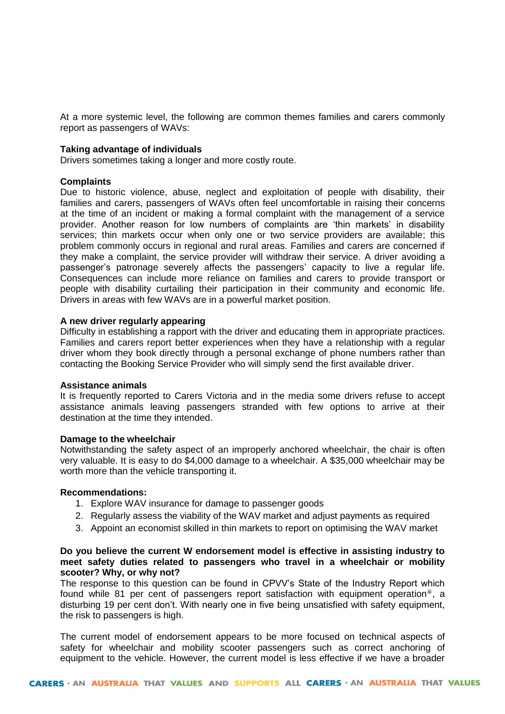At a more systemic level, the following are common themes families and carers commonly report as passengers of WAVs:

### **Taking advantage of individuals**

Drivers sometimes taking a longer and more costly route.

### **Complaints**

Due to historic violence, abuse, neglect and exploitation of people with disability, their families and carers, passengers of WAVs often feel uncomfortable in raising their concerns at the time of an incident or making a formal complaint with the management of a service provider. Another reason for low numbers of complaints are 'thin markets' in disability services; thin markets occur when only one or two service providers are available; this problem commonly occurs in regional and rural areas. Families and carers are concerned if they make a complaint, the service provider will withdraw their service. A driver avoiding a passenger's patronage severely affects the passengers' capacity to live a regular life. Consequences can include more reliance on families and carers to provide transport or people with disability curtailing their participation in their community and economic life. Drivers in areas with few WAVs are in a powerful market position.

### **A new driver regularly appearing**

Difficulty in establishing a rapport with the driver and educating them in appropriate practices. Families and carers report better experiences when they have a relationship with a regular driver whom they book directly through a personal exchange of phone numbers rather than contacting the Booking Service Provider who will simply send the first available driver.

#### **Assistance animals**

It is frequently reported to Carers Victoria and in the media some drivers refuse to accept assistance animals leaving passengers stranded with few options to arrive at their destination at the time they intended.

#### **Damage to the wheelchair**

Notwithstanding the safety aspect of an improperly anchored wheelchair, the chair is often very valuable. It is easy to do \$4,000 damage to a wheelchair. A \$35,000 wheelchair may be worth more than the vehicle transporting it.

#### **Recommendations:**

- 1. Explore WAV insurance for damage to passenger goods
- 2. Regularly assess the viability of the WAV market and adjust payments as required
- 3. Appoint an economist skilled in thin markets to report on optimising the WAV market

## **Do you believe the current W endorsement model is effective in assisting industry to meet safety duties related to passengers who travel in a wheelchair or mobility scooter? Why, or why not?**

The response to this question can be found in CPVV's State of the Industry Report which found while 81 per cent of passengers report satisfaction with equipment operation<sup>iii</sup>, a disturbing 19 per cent don't. With nearly one in five being unsatisfied with safety equipment, the risk to passengers is high.

The current model of endorsement appears to be more focused on technical aspects of safety for wheelchair and mobility scooter passengers such as correct anchoring of equipment to the vehicle. However, the current model is less effective if we have a broader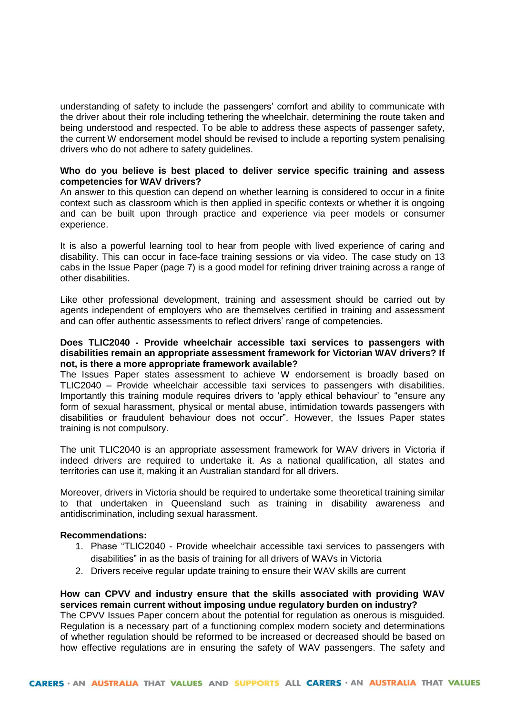understanding of safety to include the passengers' comfort and ability to communicate with the driver about their role including tethering the wheelchair, determining the route taken and being understood and respected. To be able to address these aspects of passenger safety, the current W endorsement model should be revised to include a reporting system penalising drivers who do not adhere to safety guidelines.

# **Who do you believe is best placed to deliver service specific training and assess competencies for WAV drivers?**

An answer to this question can depend on whether learning is considered to occur in a finite context such as classroom which is then applied in specific contexts or whether it is ongoing and can be built upon through practice and experience via peer models or consumer experience.

It is also a powerful learning tool to hear from people with lived experience of caring and disability. This can occur in face-face training sessions or via video. The case study on 13 cabs in the Issue Paper (page 7) is a good model for refining driver training across a range of other disabilities.

Like other professional development, training and assessment should be carried out by agents independent of employers who are themselves certified in training and assessment and can offer authentic assessments to reflect drivers' range of competencies.

# **Does TLIC2040 - Provide wheelchair accessible taxi services to passengers with disabilities remain an appropriate assessment framework for Victorian WAV drivers? If not, is there a more appropriate framework available?**

The Issues Paper states assessment to achieve W endorsement is broadly based on TLIC2040 – Provide wheelchair accessible taxi services to passengers with disabilities. Importantly this training module requires drivers to 'apply ethical behaviour' to "ensure any form of sexual harassment, physical or mental abuse, intimidation towards passengers with disabilities or fraudulent behaviour does not occur". However, the Issues Paper states training is not compulsory.

The unit TLIC2040 is an appropriate assessment framework for WAV drivers in Victoria if indeed drivers are required to undertake it. As a national qualification, all states and territories can use it, making it an Australian standard for all drivers.

Moreover, drivers in Victoria should be required to undertake some theoretical training similar to that undertaken in Queensland such as training in disability awareness and antidiscrimination, including sexual harassment.

## **Recommendations:**

- 1. Phase "TLIC2040 Provide wheelchair accessible taxi services to passengers with disabilities" in as the basis of training for all drivers of WAVs in Victoria
- 2. Drivers receive regular update training to ensure their WAV skills are current

# **How can CPVV and industry ensure that the skills associated with providing WAV services remain current without imposing undue regulatory burden on industry?**

The CPVV Issues Paper concern about the potential for regulation as onerous is misguided. Regulation is a necessary part of a functioning complex modern society and determinations of whether regulation should be reformed to be increased or decreased should be based on how effective regulations are in ensuring the safety of WAV passengers. The safety and